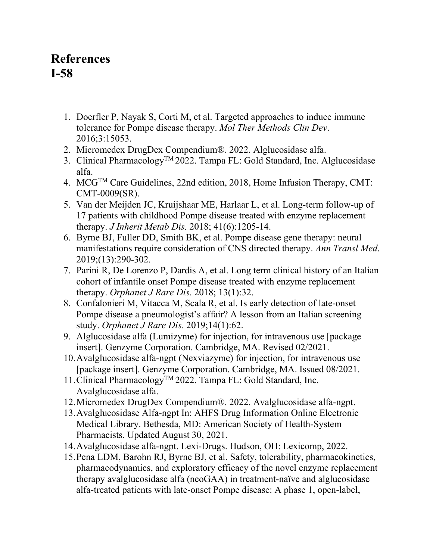## **References I-58**

- 1. Doerfler P, Nayak S, Corti M, et al. Targeted approaches to induce immune tolerance for Pompe disease therapy. *Mol Ther Methods Clin Dev*. 2016;3:15053.
- 2. Micromedex DrugDex Compendium®. 2022. Alglucosidase alfa.
- 3. Clinical Pharmacology™ 2022. Tampa FL: Gold Standard, Inc. Alglucosidase alfa.
- 4. MCGTM Care Guidelines, 22nd edition, 2018, Home Infusion Therapy, CMT: CMT-0009(SR).
- 5. Van der Meijden JC, Kruijshaar ME, Harlaar L, et al. Long-term follow-up of 17 patients with childhood Pompe disease treated with enzyme replacement therapy. *J Inherit Metab Dis.* 2018; 41(6):1205-14.
- 6. Byrne BJ, Fuller DD, Smith BK, et al. Pompe disease gene therapy: neural manifestations require consideration of CNS directed therapy. *Ann Transl Med*. 2019;(13):290-302.
- 7. Parini R, De Lorenzo P, Dardis A, et al. Long term clinical history of an Italian cohort of infantile onset Pompe disease treated with enzyme replacement therapy. *Orphanet J Rare Dis*. 2018; 13(1):32.
- 8. Confalonieri M, Vitacca M, Scala R, et al. Is early detection of late-onset Pompe disease a pneumologist's affair? A lesson from an Italian screening study. *Orphanet J Rare Dis*. 2019;14(1):62.
- 9. Alglucosidase alfa (Lumizyme) for injection, for intravenous use [package insert]. Genzyme Corporation. Cambridge, MA. Revised 02/2021.
- 10.Avalglucosidase alfa-ngpt (Nexviazyme) for injection, for intravenous use [package insert]. Genzyme Corporation. Cambridge, MA. Issued 08/2021.
- 11.Clinical PharmacologyTM 2022. Tampa FL: Gold Standard, Inc. Avalglucosidase alfa.
- 12.Micromedex DrugDex Compendium®. 2022. Avalglucosidase alfa-ngpt.
- 13.Avalglucosidase Alfa-ngpt In: AHFS Drug Information Online Electronic Medical Library. Bethesda, MD: American Society of Health-System Pharmacists. Updated August 30, 2021.
- 14.Avalglucosidase alfa-ngpt. Lexi-Drugs. Hudson, OH: Lexicomp, 2022.
- 15.Pena LDM, Barohn RJ, Byrne BJ, et al. Safety, tolerability, pharmacokinetics, pharmacodynamics, and exploratory efficacy of the novel enzyme replacement therapy avalglucosidase alfa (neoGAA) in treatment-naïve and alglucosidase alfa-treated patients with late-onset Pompe disease: A phase 1, open-label,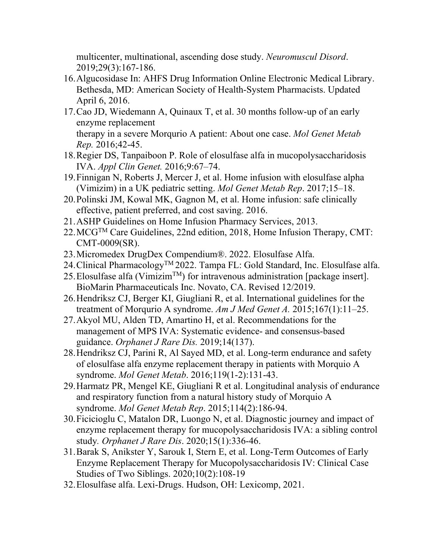multicenter, multinational, ascending dose study. *Neuromuscul Disord*. 2019;29(3):167-186.

- 16.Algucosidase In: AHFS Drug Information Online Electronic Medical Library. Bethesda, MD: American Society of Health-System Pharmacists. Updated April 6, 2016.
- 17.Cao JD, Wiedemann A, Quinaux T, et al. 30 months follow-up of an early enzyme replacement therapy in a severe Morqurio A patient: About one case. *Mol Genet Metab Rep.* 2016;42-45.
- 18.Regier DS, Tanpaiboon P. Role of elosulfase alfa in mucopolysaccharidosis IVA. *Appl Clin Genet.* 2016;9:67–74.
- 19.Finnigan N, Roberts J, Mercer J, et al. Home infusion with elosulfase alpha (Vimizim) in a UK pediatric setting. *Mol Genet Metab Rep*. 2017;15–18.
- 20.Polinski JM, Kowal MK, Gagnon M, et al. Home infusion: safe clinically effective, patient preferred, and cost saving. 2016.
- 21.ASHP Guidelines on Home Infusion Pharmacy Services, 2013.
- $22.$  MCG<sup>TM</sup> Care Guidelines, 22nd edition, 2018, Home Infusion Therapy, CMT: CMT-0009(SR).
- 23.Micromedex DrugDex Compendium®. 2022. Elosulfase Alfa.
- 24.Clinical PharmacologyTM 2022. Tampa FL: Gold Standard, Inc. Elosulfase alfa.
- 25. Elosulfase alfa (Vimizim<sup>TM</sup>) for intravenous administration [package insert]. BioMarin Pharmaceuticals Inc. Novato, CA. Revised 12/2019.
- 26.Hendriksz CJ, Berger KI, Giugliani R, et al. International guidelines for the treatment of Morqurio A syndrome. *Am J Med Genet A.* 2015;167(1):11–25.
- 27.Akyol MU, Alden TD, Amartino H, et al. Recommendations for the management of MPS IVA: Systematic evidence- and consensus-based guidance. *Orphanet J Rare Dis.* 2019;14(137).
- 28.Hendriksz CJ, Parini R, Al Sayed MD, et al. Long-term endurance and safety of elosulfase alfa enzyme replacement therapy in patients with Morquio A syndrome. *Mol Genet Metab*. 2016;119(1-2):131-43.
- 29.Harmatz PR, Mengel KE, Giugliani R et al. Longitudinal analysis of endurance and respiratory function from a natural history study of Morquio A syndrome. *Mol Genet Metab Rep*. 2015;114(2):186-94.
- 30.Ficicioglu C, Matalon DR, Luongo N, et al. Diagnostic journey and impact of enzyme replacement therapy for mucopolysaccharidosis IVA: a sibling control study*. Orphanet J Rare Dis*. 2020;15(1):336-46.
- 31.Barak S, Anikster Y, Sarouk I, Stern E, et al. Long-Term Outcomes of Early Enzyme Replacement Therapy for Mucopolysaccharidosis IV: Clinical Case Studies of Two Siblings. 2020;10(2):108-19
- 32.Elosulfase alfa. Lexi-Drugs. Hudson, OH: Lexicomp, 2021.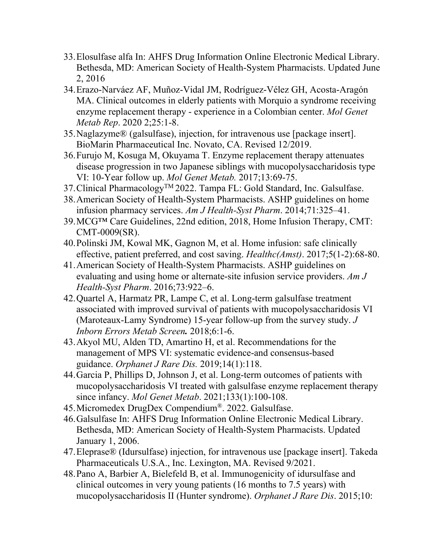- 33.Elosulfase alfa In: AHFS Drug Information Online Electronic Medical Library. Bethesda, MD: American Society of Health-System Pharmacists. Updated June 2, 2016
- 34.Erazo-Narváez AF, Muñoz-Vidal JM, Rodríguez-Vélez GH, Acosta-Aragón MA. Clinical outcomes in elderly patients with Morquio a syndrome receiving enzyme replacement therapy - experience in a Colombian center. *Mol Genet Metab Rep*. 2020 2;25:1-8.
- 35.Naglazyme® (galsulfase), injection, for intravenous use [package insert]. BioMarin Pharmaceutical Inc. Novato, CA. Revised 12/2019.
- 36.Furujo M, Kosuga M, Okuyama T. Enzyme replacement therapy attenuates disease progression in two Japanese siblings with mucopolysaccharidosis type VI: 10-Year follow up. *Mol Genet Metab.* 2017;13:69-75.
- 37. Clinical Pharmacology<sup>TM</sup> 2022. Tampa FL: Gold Standard, Inc. Galsulfase.
- 38.American Society of Health-System Pharmacists. ASHP guidelines on home infusion pharmacy services. *Am J Health-Syst Pharm*. 2014;71:325–41.
- 39.MCG™ Care Guidelines, 22nd edition, 2018, Home Infusion Therapy, CMT: CMT-0009(SR).
- 40.Polinski JM, Kowal MK, Gagnon M, et al. Home infusion: safe clinically effective, patient preferred, and cost saving. *Healthc(Amst)*. 2017;5(1-2):68-80.
- 41.American Society of Health-System Pharmacists. ASHP guidelines on evaluating and using home or alternate-site infusion service providers. *Am J Health-Syst Pharm*. 2016;73:922–6.
- 42.Quartel A, Harmatz PR, Lampe C, et al. Long-term galsulfase treatment associated with improved survival of patients with mucopolysaccharidosis VI (Maroteaux-Lamy Syndrome) 15-year follow-up from the survey study. *J Inborn Errors Metab Screen.* 2018;6:1-6.
- 43.Akyol MU, Alden TD, Amartino H, et al. Recommendations for the management of MPS VI: systematic evidence-and consensus-based guidance. *Orphanet J Rare Dis.* 2019;14(1):118.
- 44.Garcia P, Phillips D, Johnson J, et al. Long-term outcomes of patients with mucopolysaccharidosis VI treated with galsulfase enzyme replacement therapy since infancy. *Mol Genet Metab*. 2021;133(1):100-108.
- 45.Micromedex DrugDex Compendium®. 2022. Galsulfase.
- 46.Galsulfase In: AHFS Drug Information Online Electronic Medical Library. Bethesda, MD: American Society of Health-System Pharmacists. Updated January 1, 2006.
- 47.Eleprase® (Idursulfase) injection, for intravenous use [package insert]. Takeda Pharmaceuticals U.S.A., Inc. Lexington, MA. Revised 9/2021.
- 48.Pano A, Barbier A, Bielefeld B, et al. Immunogenicity of idursulfase and clinical outcomes in very young patients (16 months to 7.5 years) with mucopolysaccharidosis II (Hunter syndrome). *Orphanet J Rare Dis*. 2015;10: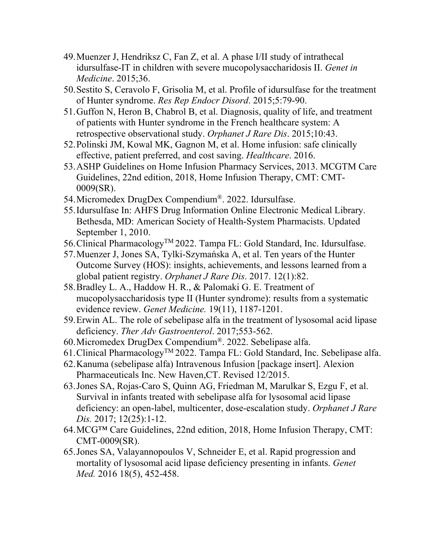- 49.Muenzer J, Hendriksz C, Fan Z, et al. A phase I/II study of intrathecal idursulfase-IT in children with severe mucopolysaccharidosis II. *Genet in Medicine*. 2015;36.
- 50.Sestito S, Ceravolo F, Grisolia M, et al. Profile of idursulfase for the treatment of Hunter syndrome. *Res Rep Endocr Disord*. 2015;5:79-90.
- 51.Guffon N, Heron B, Chabrol B, et al. Diagnosis, quality of life, and treatment of patients with Hunter syndrome in the French healthcare system: A retrospective observational study. *Orphanet J Rare Dis*. 2015;10:43.
- 52.Polinski JM, Kowal MK, Gagnon M, et al. Home infusion: safe clinically effective, patient preferred, and cost saving. *Healthcare*. 2016.
- 53.ASHP Guidelines on Home Infusion Pharmacy Services, 2013. MCGTM Care Guidelines, 22nd edition, 2018, Home Infusion Therapy, CMT: CMT-0009(SR).
- 54.Micromedex DrugDex Compendium®. 2022. Idursulfase.
- 55.Idursulfase In: AHFS Drug Information Online Electronic Medical Library. Bethesda, MD: American Society of Health-System Pharmacists. Updated September 1, 2010.
- 56. Clinical Pharmacology<sup>™</sup> 2022. Tampa FL: Gold Standard, Inc. Idursulfase.
- 57.Muenzer J, Jones SA, Tylki-Szymańska A, et al. Ten years of the Hunter Outcome Survey (HOS): insights, achievements, and lessons learned from a global patient registry. *Orphanet J Rare Dis*. 2017. 12(1):82.
- 58.Bradley L. A., Haddow H. R., & Palomaki G. E. Treatment of mucopolysaccharidosis type II (Hunter syndrome): results from a systematic evidence review. *Genet Medicine.* 19(11), 1187-1201.
- 59.Erwin AL. The role of sebelipase alfa in the treatment of lysosomal acid lipase deficiency. *Ther Adv Gastroenterol*. 2017;553-562.
- 60.Micromedex DrugDex Compendium®. 2022. Sebelipase alfa.
- 61. Clinical Pharmacology<sup>TM</sup> 2022. Tampa FL: Gold Standard, Inc. Sebelipase alfa.
- 62.Kanuma (sebelipase alfa) Intravenous Infusion [package insert]. Alexion Pharmaceuticals Inc. New Haven,CT. Revised 12/2015.
- 63.Jones SA, Rojas-Caro S, Quinn AG, Friedman M, Marulkar S, Ezgu F, et al. Survival in infants treated with sebelipase alfa for lysosomal acid lipase deficiency: an open-label, multicenter, dose-escalation study. *Orphanet J Rare Dis.* 2017; 12(25):1-12.
- 64.MCG™ Care Guidelines, 22nd edition, 2018, Home Infusion Therapy, CMT: CMT-0009(SR).
- 65.Jones SA, Valayannopoulos V, Schneider E, et al. Rapid progression and mortality of lysosomal acid lipase deficiency presenting in infants. *Genet Med.* 2016 18(5), 452-458.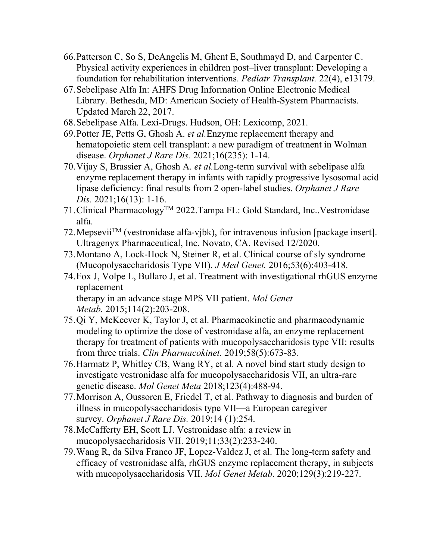- 66.Patterson C, So S, DeAngelis M, Ghent E, Southmayd D, and Carpenter C. Physical activity experiences in children post–liver transplant: Developing a foundation for rehabilitation interventions. *Pediatr Transplant.* 22(4), e13179.
- 67.Sebelipase Alfa In: AHFS Drug Information Online Electronic Medical Library. Bethesda, MD: American Society of Health-System Pharmacists. Updated March 22, 2017.
- 68.Sebelipase Alfa. Lexi-Drugs. Hudson, OH: Lexicomp, 2021.
- 69.Potter JE, Petts G, Ghosh A. *et al.*Enzyme replacement therapy and hematopoietic stem cell transplant: a new paradigm of treatment in Wolman disease. *Orphanet J Rare Dis.* 2021;16(235): 1-14.
- 70.Vijay S, Brassier A, Ghosh A. *et al.*Long-term survival with sebelipase alfa enzyme replacement therapy in infants with rapidly progressive lysosomal acid lipase deficiency: final results from 2 open-label studies. *Orphanet J Rare Dis.* 2021;16(13): 1-16.
- 71.Clinical PharmacologyTM 2022.Tampa FL: Gold Standard, Inc..Vestronidase alfa.
- 72. Mepsevii<sup>TM</sup> (vestronidase alfa-vjbk), for intravenous infusion [package insert]. Ultragenyx Pharmaceutical, Inc. Novato, CA. Revised 12/2020.
- 73.Montano A, Lock-Hock N, Steiner R, et al. Clinical course of sly syndrome (Mucopolysaccharidosis Type VII). *J Med Genet.* 2016;53(6):403-418.
- 74.Fox J, Volpe L, Bullaro J, et al. Treatment with investigational rhGUS enzyme replacement therapy in an advance stage MPS VII patient. *Mol Genet*

*Metab.* 2015;114(2):203-208.

- 75.Qi Y, McKeever K, Taylor J, et al. Pharmacokinetic and pharmacodynamic modeling to optimize the dose of vestronidase alfa, an enzyme replacement therapy for treatment of patients with mucopolysaccharidosis type VII: results from three trials. *Clin Pharmacokinet.* 2019;58(5):673-83.
- 76.Harmatz P, Whitley CB, Wang RY, et al. A novel bind start study design to investigate vestronidase alfa for mucopolysaccharidosis VII, an ultra-rare genetic disease. *Mol Genet Meta* 2018;123(4):488-94.
- 77.Morrison A, Oussoren E, Friedel T, et al. Pathway to diagnosis and burden of illness in mucopolysaccharidosis type VII—a European caregiver survey. *Orphanet J Rare Dis.* 2019;14 (1):254.
- 78.McCafferty EH, Scott LJ. Vestronidase alfa: a review in mucopolysaccharidosis VII. 2019;11;33(2):233-240.
- 79.Wang R, da Silva Franco JF, Lopez-Valdez J, et al. The long-term safety and efficacy of vestronidase alfa, rhGUS enzyme replacement therapy, in subjects with mucopolysaccharidosis VII. *Mol Genet Metab*. 2020;129(3):219-227.